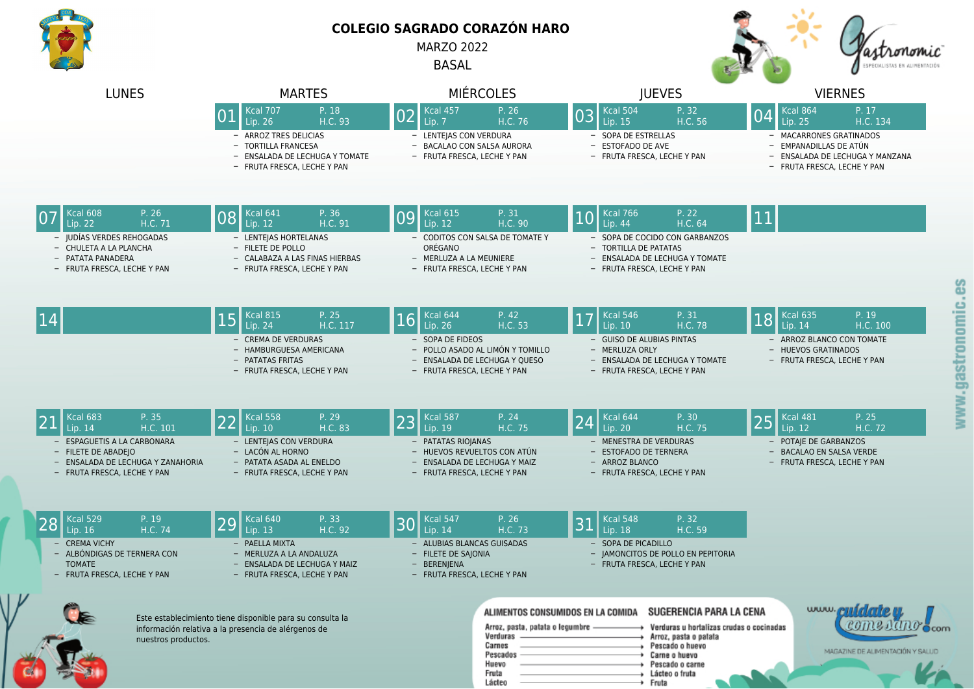

## **COLEGIO SAGRADO CORAZÓN HARO**

MARZO 2022

BASAL



| <b>LUNES</b>                                                                                                       | <b>MARTES</b>                                                                                                    | <b>MIÉRCOLES</b>                                                                                                   | <b>IUEVES</b>                                                                                                            | <b>VIERNES</b>                                                                                                      |
|--------------------------------------------------------------------------------------------------------------------|------------------------------------------------------------------------------------------------------------------|--------------------------------------------------------------------------------------------------------------------|--------------------------------------------------------------------------------------------------------------------------|---------------------------------------------------------------------------------------------------------------------|
|                                                                                                                    | $\overline{Kcal}$ 707<br>P. 18<br>01<br>H.C. 93<br>Lip. 26                                                       | Kcal 457<br>P. 26<br>02<br>H.C. 76<br>Lip. 7                                                                       | $Kcal$ cal 504<br>P. 32<br>03<br>H.C. 56<br>Lip. 15                                                                      | $Kcal$ cal 864<br>P. 17<br>04<br>H.C. 134<br>Lip. 25                                                                |
|                                                                                                                    | - ARROZ TRES DELICIAS<br>- TORTILLA FRANCESA<br>- ENSALADA DE LECHUGA Y TOMATE<br>- FRUTA FRESCA, LECHE Y PAN    | - LENTEJAS CON VERDURA<br>- BACALAO CON SALSA AURORA<br>- FRUTA FRESCA, LECHE Y PAN                                | - SOPA DE ESTRELLAS<br>- ESTOFADO DE AVE<br>- FRUTA FRESCA, LECHE Y PAN                                                  | - MACARRONES GRATINADOS<br>- EMPANADILLAS DE ATÚN<br>- ENSALADA DE LECHUGA Y MANZANA<br>- FRUTA FRESCA, LECHE Y PAN |
| Kcal 608<br>P. 26<br>Lip. 22<br>H.C. 71                                                                            | <b>Kcal 641</b><br>P. 36<br>08<br>H.C. 91<br>Lip. 12                                                             | P. 31<br><b>Kcal 615</b><br>09<br>H.C. 90<br>Lip. 12                                                               | Kcal 766<br>P. 22<br> 10<br>H.C. 64<br>Lip. 44                                                                           | 11                                                                                                                  |
| - JUDÍAS VERDES REHOGADAS<br>- CHULETA A LA PLANCHA<br>- PATATA PANADERA<br>- FRUTA FRESCA, LECHE Y PAN            | - LENTEJAS HORTELANAS<br>- FILETE DE POLLO<br>- CALABAZA A LAS FINAS HIERBAS<br>- FRUTA FRESCA, LECHE Y PAN      | - CODITOS CON SALSA DE TOMATE Y<br>ORÉGANO<br>- MERLUZA A LA MEUNIERE<br>- FRUTA FRESCA, LECHE Y PAN               | - SOPA DE COCIDO CON GARBANZOS<br>- TORTILLA DE PATATAS<br>- ENSALADA DE LECHUGA Y TOMATE<br>- FRUTA FRESCA, LECHE Y PAN |                                                                                                                     |
| 14                                                                                                                 | Kcal 815<br>P. 25<br>15<br>Lip. 24<br>H.C. 117                                                                   | P. 42<br>Kcal 644<br>16<br>H.C. 53<br>Lip. 26                                                                      | Kcal 546<br>P. 31<br> 17<br>H.C. 78<br>Lip. 10                                                                           | P. 19<br><b>Kcal 635</b><br> 18<br>Lip. 14<br>H.C. 100                                                              |
|                                                                                                                    | - CREMA DE VERDURAS<br>- HAMBURGUESA AMERICANA<br>- PATATAS FRITAS<br>- FRUTA FRESCA, LECHE Y PAN                | - SOPA DE FIDEOS<br>- POLLO ASADO AL LIMÓN Y TOMILLO<br>ENSALADA DE LECHUGA Y QUESO<br>- FRUTA FRESCA, LECHE Y PAN | - GUISO DE ALUBIAS PINTAS<br>- MERLUZA ORLY<br>- ENSALADA DE LECHUGA Y TOMATE<br>- FRUTA FRESCA, LECHE Y PAN             | - ARROZ BLANCO CON TOMATE<br>- HUEVOS GRATINADOS<br>- FRUTA FRESCA, LECHE Y PAN                                     |
| P. 35<br><b>Kcal 683</b><br>H.C. 101<br>Lip. 14                                                                    | <b>Kcal 558</b><br>P. 29<br>22<br>H.C. 83<br>Lip. 10                                                             | P. 24<br><b>Kcal 587</b><br>23<br>H.C. 75<br>Lip. 19                                                               | Kcal 644<br>P. 30<br>24<br>H.C. 75<br>Lip. 20                                                                            | P. 25<br><b>Kcal 481</b><br>25<br>Lip. 12<br>H.C. 72                                                                |
| ESPAGUETIS A LA CARBONARA<br>- FILETE DE ABADEJO<br>ENSALADA DE LECHUGA Y ZANAHORIA<br>- FRUTA FRESCA, LECHE Y PAN | - LENTEJAS CON VERDURA<br>- LACÓN AL HORNO<br>- PATATA ASADA AL ENELDO<br>- FRUTA FRESCA, LECHE Y PAN            | - PATATAS RIOJANAS<br>- HUEVOS REVUELTOS CON ATÚN<br>ENSALADA DE LECHUGA Y MAIZ<br>- FRUTA FRESCA, LECHE Y PAN     | - MENESTRA DE VERDURAS<br>- ESTOFADO DE TERNERA<br>- ARROZ BLANCO<br>- FRUTA FRESCA, LECHE Y PAN                         | - POTAJE DE GARBANZOS<br>- BACALAO EN SALSA VERDE<br>- FRUTA FRESCA, LECHE Y PAN                                    |
| <b>Kcal 529</b><br>P. 19<br>28<br><b>H.C. 74</b><br>Lip. $16$                                                      | Kcal 640<br>P. 33<br>29<br>H.C. 92<br>Lip. 13                                                                    | <b>Kcal 547</b><br>P. 26<br>3 <sub>0</sub><br>H.C. 73<br>Lip. 14                                                   | <b>Kcal 548</b><br>P. 32<br>31<br>H.C. 59<br>Lip. 18                                                                     |                                                                                                                     |
| <b>CREMA VICHY</b><br>- ALBÓNDIGAS DE TERNERA CON<br><b>TOMATE</b><br>- FRUTA FRESCA, LECHE Y PAN                  | PAELLA MIXTA<br>- MERLUZA A LA ANDALUZA<br>- ENSALADA DE LECHUGA Y MAIZ<br>- FRUTA FRESCA, LECHE Y PAN           | - ALUBIAS BLANCAS GUISADAS<br>- FILETE DE SAJONIA<br>- BERENJENA<br>- FRUTA FRESCA, LECHE Y PAN                    | - SOPA DE PICADILLO<br>- JAMONCITOS DE POLLO EN PEPITORIA<br>- FRUTA FRESCA, LECHE Y PAN                                 |                                                                                                                     |
| nuestros productos.                                                                                                | Este establecimiento tiene disponible para su consulta la<br>información relativa a la presencia de alérgenos de | ALIMENTOS CONSUMIDOS EN LA COMIDA<br>Arroz, pasta, patata o legumbre -<br>Verduras -                               | SUGERENCIA PARA LA CENA<br>Verduras u hortalizas crudas o cocinadas<br>+ Arroz, pasta o patata                           | www.cuidatem<br>COME RAND Ccom                                                                                      |

Carnes

Huevo

Fruta

Lácteo

Pescados

Pescado o huevo

Pescado o carne

Carne o huevo

Lácteo o fruta

Fruta

MAGAZINE DE ALIMENTACIÓN Y SALUD